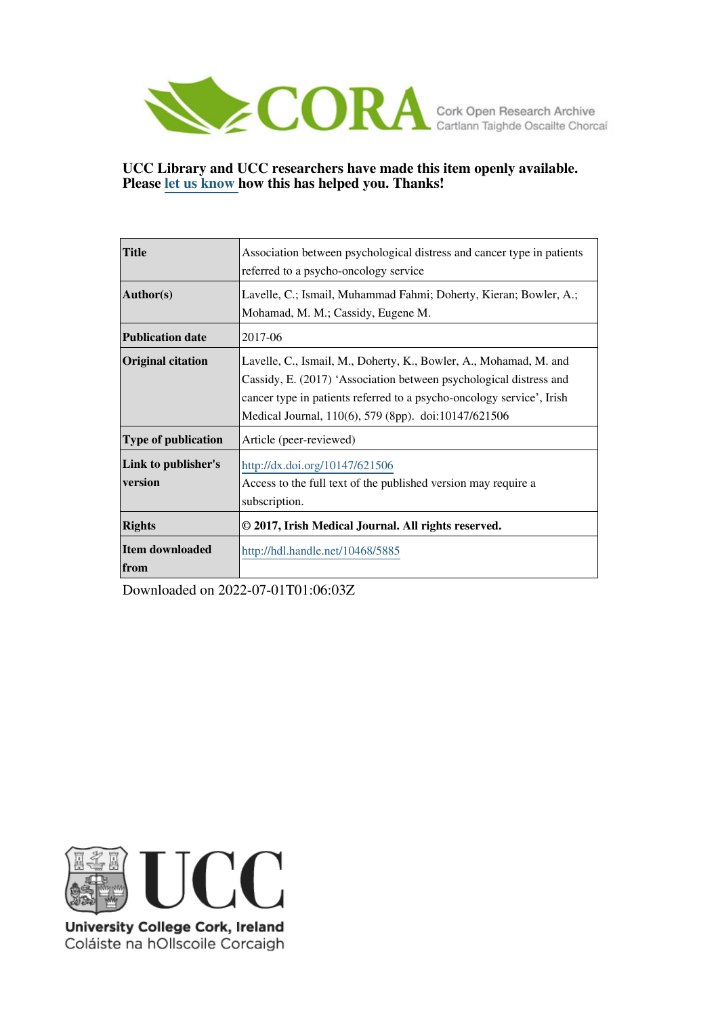

### **UCC Library and UCC researchers have made this item openly available. Please [let us know h](https://libguides.ucc.ie/openaccess/impact?suffix=5885&title=Association between psychological distress and cancer type in patients referred to a psycho-oncology service)ow this has helped you. Thanks!**

| <b>Title</b>                   | Association between psychological distress and cancer type in patients<br>referred to a psycho-oncology service                                                                                                                                                          |  |  |  |  |  |
|--------------------------------|--------------------------------------------------------------------------------------------------------------------------------------------------------------------------------------------------------------------------------------------------------------------------|--|--|--|--|--|
| Author(s)                      | Lavelle, C.; Ismail, Muhammad Fahmi; Doherty, Kieran; Bowler, A.;<br>Mohamad, M. M.; Cassidy, Eugene M.                                                                                                                                                                  |  |  |  |  |  |
| <b>Publication date</b>        | 2017-06                                                                                                                                                                                                                                                                  |  |  |  |  |  |
| <b>Original citation</b>       | Lavelle, C., Ismail, M., Doherty, K., Bowler, A., Mohamad, M. and<br>Cassidy, E. (2017) 'Association between psychological distress and<br>cancer type in patients referred to a psycho-oncology service', Irish<br>Medical Journal, 110(6), 579 (8pp). doi:10147/621506 |  |  |  |  |  |
| <b>Type of publication</b>     | Article (peer-reviewed)                                                                                                                                                                                                                                                  |  |  |  |  |  |
| Link to publisher's<br>version | http://dx.doi.org/10147/621506<br>Access to the full text of the published version may require a<br>subscription.                                                                                                                                                        |  |  |  |  |  |
| <b>Rights</b>                  | © 2017, Irish Medical Journal. All rights reserved.                                                                                                                                                                                                                      |  |  |  |  |  |
| Item downloaded<br>from        | http://hdl.handle.net/10468/5885                                                                                                                                                                                                                                         |  |  |  |  |  |

Downloaded on 2022-07-01T01:06:03Z



University College Cork, Ireland Coláiste na hOllscoile Corcaigh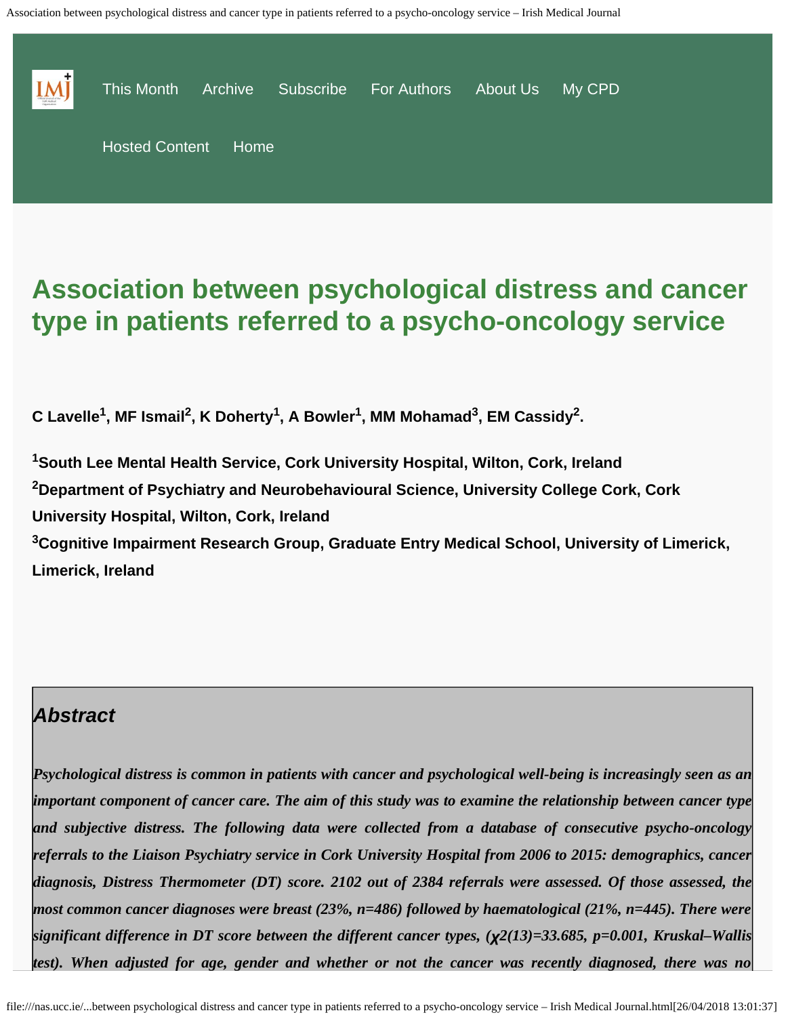

# **Association between psychological distress and cancer type in patients referred to a psycho-oncology service**

**C Lavelle , MF Ismail , K Doherty , A Bowler , MM Mohamad , EM Cassidy . 1 2 1 1 3 2**

<sup>1</sup>South Lee Mental Health Service, Cork University Hospital, Wilton, Cork, Ireland **Department of Psychiatry and Neurobehavioural Science, University College Cork, Cork 2 University Hospital, Wilton, Cork, Ireland Cognitive Impairment Research Group, Graduate Entry Medical School, University of Limerick, 3**

**Limerick, Ireland**

## *Abstract*

*Psychological distress is common in patients with cancer and psychological well-being is increasingly seen as an important component of cancer care. The aim of this study was to examine the relationship between cancer type and subjective distress. The following data were collected from a database of consecutive psycho-oncology referrals to the Liaison Psychiatry service in Cork University Hospital from 2006 to 2015: demographics, cancer diagnosis, Distress Thermometer (DT) score. 2102 out of 2384 referrals were assessed. Of those assessed, the most common cancer diagnoses were breast (23%, n=486) followed by haematological (21%, n=445). There were significant difference in DT score between the different cancer types, (χ2(13)=33.685, p=0.001, Kruskal–Wallis test). When adjusted for age, gender and whether or not the cancer was recently diagnosed, there was no*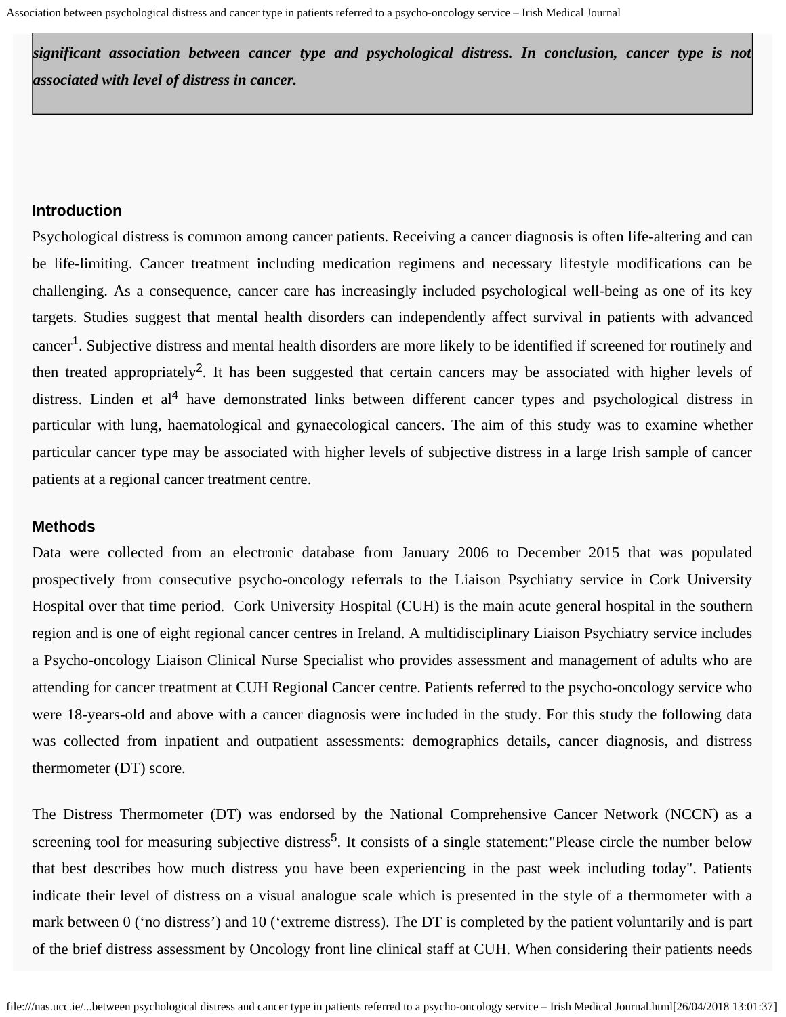*significant association between cancer type and psychological distress. In conclusion, cancer type is not associated with level of distress in cancer.*

#### **Introduction**

Psychological distress is common among cancer patients. Receiving a cancer diagnosis is often life-altering and can be life-limiting. Cancer treatment including medication regimens and necessary lifestyle modifications can be challenging. As a consequence, cancer care has increasingly included psychological well-being as one of its key targets. Studies suggest that mental health disorders can independently affect survival in patients with advanced cancer<sup>1</sup>. Subjective distress and mental health disorders are more likely to be identified if screened for routinely and then treated appropriately<sup>2</sup>. It has been suggested that certain cancers may be associated with higher levels of distress. Linden et al<sup>4</sup> have demonstrated links between different cancer types and psychological distress in particular with lung, haematological and gynaecological cancers. The aim of this study was to examine whether particular cancer type may be associated with higher levels of subjective distress in a large Irish sample of cancer patients at a regional cancer treatment centre.

#### **Methods**

Data were collected from an electronic database from January 2006 to December 2015 that was populated prospectively from consecutive psycho-oncology referrals to the Liaison Psychiatry service in Cork University Hospital over that time period. Cork University Hospital (CUH) is the main acute general hospital in the southern region and is one of eight regional cancer centres in Ireland. A multidisciplinary Liaison Psychiatry service includes a Psycho-oncology Liaison Clinical Nurse Specialist who provides assessment and management of adults who are attending for cancer treatment at CUH Regional Cancer centre. Patients referred to the psycho-oncology service who were 18-years-old and above with a cancer diagnosis were included in the study. For this study the following data was collected from inpatient and outpatient assessments: demographics details, cancer diagnosis, and distress thermometer (DT) score.

The Distress Thermometer (DT) was endorsed by the National Comprehensive Cancer Network (NCCN) as a screening tool for measuring subjective distress<sup>5</sup>. It consists of a single statement: "Please circle the number below that best describes how much distress you have been experiencing in the past week including today". Patients indicate their level of distress on a visual analogue scale which is presented in the style of a thermometer with a mark between 0 ('no distress') and 10 ('extreme distress). The DT is completed by the patient voluntarily and is part of the brief distress assessment by Oncology front line clinical staff at CUH. When considering their patients needs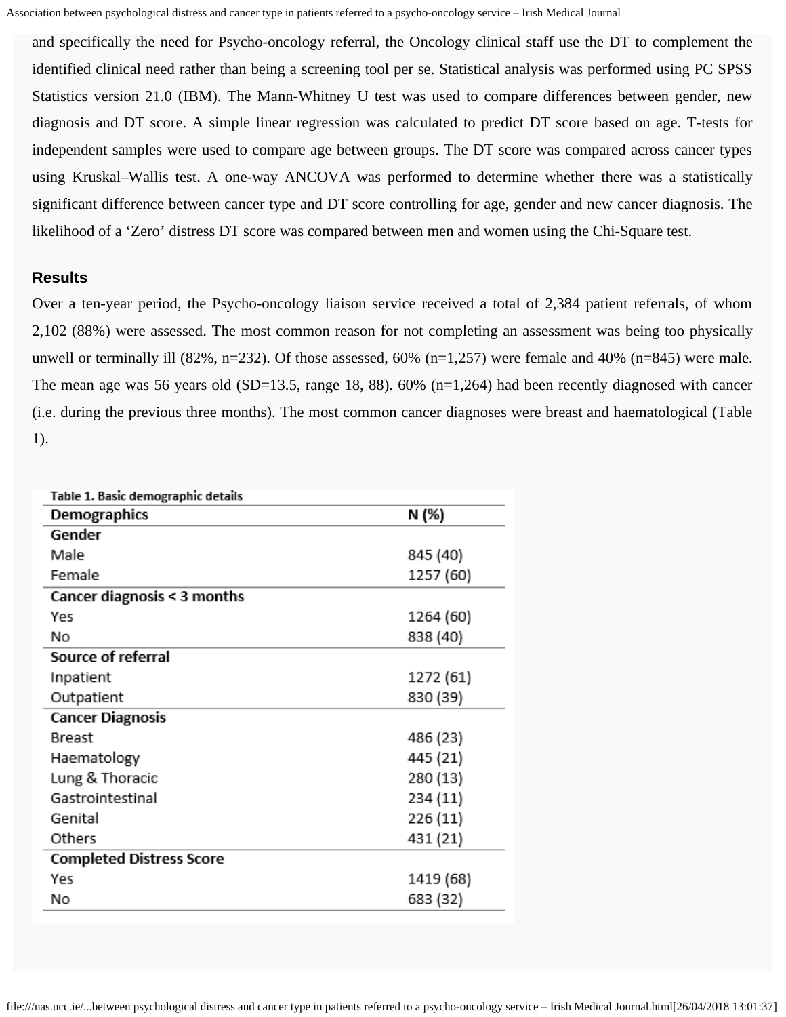and specifically the need for Psycho-oncology referral, the Oncology clinical staff use the DT to complement the identified clinical need rather than being a screening tool per se. Statistical analysis was performed using PC SPSS Statistics version 21.0 (IBM). The Mann-Whitney U test was used to compare differences between gender, new diagnosis and DT score. A simple linear regression was calculated to predict DT score based on age. T-tests for independent samples were used to compare age between groups. The DT score was compared across cancer types using Kruskal–Wallis test. A one-way ANCOVA was performed to determine whether there was a statistically significant difference between cancer type and DT score controlling for age, gender and new cancer diagnosis. The likelihood of a 'Zero' distress DT score was compared between men and women using the Chi-Square test.

#### **Results**

Over a ten-year period, the Psycho-oncology liaison service received a total of 2,384 patient referrals, of whom 2,102 (88%) were assessed. The most common reason for not completing an assessment was being too physically unwell or terminally ill (82%, n=232). Of those assessed, 60% (n=1,257) were female and 40% (n=845) were male. The mean age was 56 years old (SD=13.5, range 18, 88). 60% (n=1,264) had been recently diagnosed with cancer (i.e. during the previous three months). The most common cancer diagnoses were breast and haematological (Table 1).

| N (%)<br><b>Demographics</b><br>Gender<br>Male<br>845 (40)<br>Female<br>1257 (60)<br>Cancer diagnosis < 3 months<br>Yes<br>1264 (60)<br>838 (40)<br>No<br>Source of referral<br>1272 (61)<br>Inpatient<br>830 (39)<br>Outpatient<br><b>Cancer Diagnosis</b><br>Breast<br>486 (23)<br>445 (21)<br>Haematology<br>Lung & Thoracic<br>280 (13)<br>Gastrointestinal<br>234 (11)<br>Genital<br>226 (11)<br>Others<br>431 (21)<br><b>Completed Distress Score</b><br>Yes<br>1419 (68)<br>683 (32)<br>No | Table 1. Basic demographic details |  |  |  |  |  |  |
|---------------------------------------------------------------------------------------------------------------------------------------------------------------------------------------------------------------------------------------------------------------------------------------------------------------------------------------------------------------------------------------------------------------------------------------------------------------------------------------------------|------------------------------------|--|--|--|--|--|--|
|                                                                                                                                                                                                                                                                                                                                                                                                                                                                                                   |                                    |  |  |  |  |  |  |
|                                                                                                                                                                                                                                                                                                                                                                                                                                                                                                   |                                    |  |  |  |  |  |  |
|                                                                                                                                                                                                                                                                                                                                                                                                                                                                                                   |                                    |  |  |  |  |  |  |
|                                                                                                                                                                                                                                                                                                                                                                                                                                                                                                   |                                    |  |  |  |  |  |  |
|                                                                                                                                                                                                                                                                                                                                                                                                                                                                                                   |                                    |  |  |  |  |  |  |
|                                                                                                                                                                                                                                                                                                                                                                                                                                                                                                   |                                    |  |  |  |  |  |  |
|                                                                                                                                                                                                                                                                                                                                                                                                                                                                                                   |                                    |  |  |  |  |  |  |
|                                                                                                                                                                                                                                                                                                                                                                                                                                                                                                   |                                    |  |  |  |  |  |  |
|                                                                                                                                                                                                                                                                                                                                                                                                                                                                                                   |                                    |  |  |  |  |  |  |
|                                                                                                                                                                                                                                                                                                                                                                                                                                                                                                   |                                    |  |  |  |  |  |  |
|                                                                                                                                                                                                                                                                                                                                                                                                                                                                                                   |                                    |  |  |  |  |  |  |
|                                                                                                                                                                                                                                                                                                                                                                                                                                                                                                   |                                    |  |  |  |  |  |  |
|                                                                                                                                                                                                                                                                                                                                                                                                                                                                                                   |                                    |  |  |  |  |  |  |
|                                                                                                                                                                                                                                                                                                                                                                                                                                                                                                   |                                    |  |  |  |  |  |  |
|                                                                                                                                                                                                                                                                                                                                                                                                                                                                                                   |                                    |  |  |  |  |  |  |
|                                                                                                                                                                                                                                                                                                                                                                                                                                                                                                   |                                    |  |  |  |  |  |  |
|                                                                                                                                                                                                                                                                                                                                                                                                                                                                                                   |                                    |  |  |  |  |  |  |
|                                                                                                                                                                                                                                                                                                                                                                                                                                                                                                   |                                    |  |  |  |  |  |  |
|                                                                                                                                                                                                                                                                                                                                                                                                                                                                                                   |                                    |  |  |  |  |  |  |
|                                                                                                                                                                                                                                                                                                                                                                                                                                                                                                   |                                    |  |  |  |  |  |  |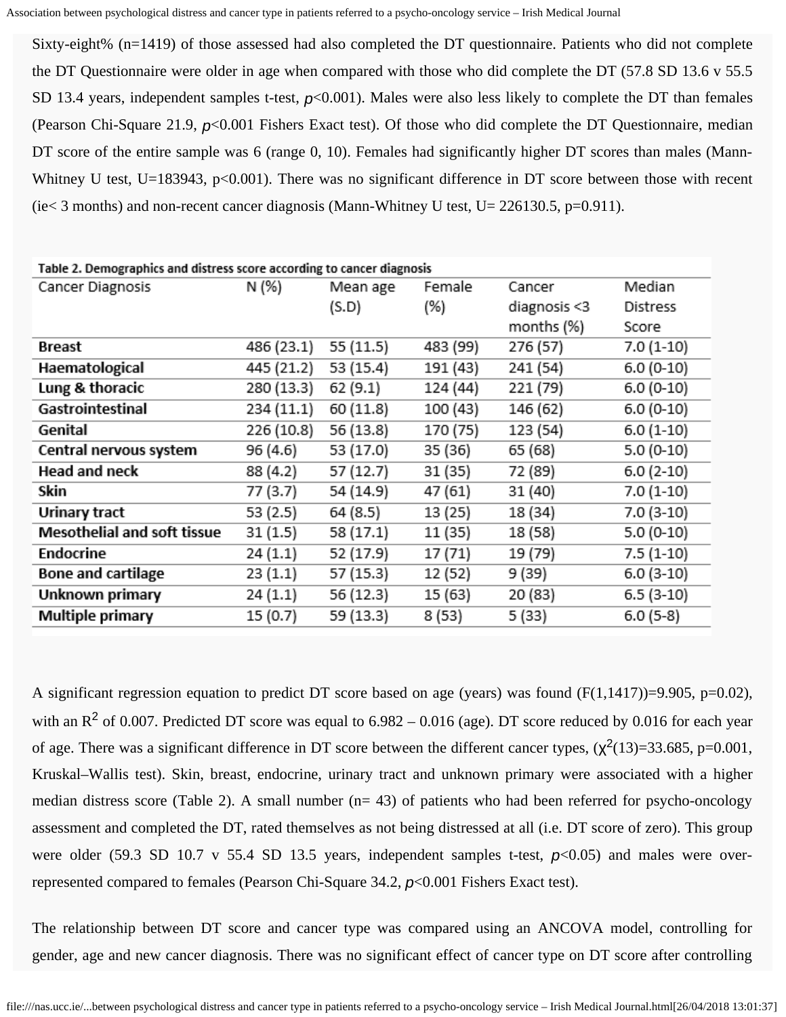Sixty-eight% (n=1419) of those assessed had also completed the DT questionnaire. Patients who did not complete the DT Questionnaire were older in age when compared with those who did complete the DT (57.8 SD 13.6 v 55.5 SD 13.4 years, independent samples t-test,  $p<0.001$ ). Males were also less likely to complete the DT than females (Pearson Chi-Square 21.9, *p*<0.001 Fishers Exact test). Of those who did complete the DT Questionnaire, median DT score of the entire sample was 6 (range 0, 10). Females had significantly higher DT scores than males (Mann-Whitney U test, U=183943, p<0.001). There was no significant difference in DT score between those with recent (ie< 3 months) and non-recent cancer diagnosis (Mann-Whitney U test, U= 226130.5, p=0.911).

| Table 2. Demographics and distress score according to cancer diagnosis |            |           |          |              |                 |  |  |  |
|------------------------------------------------------------------------|------------|-----------|----------|--------------|-----------------|--|--|--|
| Cancer Diagnosis                                                       | N (%)      | Mean age  | Female   | Cancer       | Median          |  |  |  |
|                                                                        |            | (S.D)     | (%)      | diagnosis <3 | <b>Distress</b> |  |  |  |
|                                                                        |            |           |          | months (%)   | Score           |  |  |  |
| Breast                                                                 | 486 (23.1) | 55(11.5)  | 483 (99) | 276 (57)     | $7.0(1-10)$     |  |  |  |
| Haematological                                                         | 445 (21.2) | 53 (15.4) | 191 (43) | 241 (54)     | $6.0(0-10)$     |  |  |  |
| Lung & thoracic                                                        | 280 (13.3) | 62(9.1)   | 124 (44) | 221 (79)     | $6.0(0-10)$     |  |  |  |
| Gastrointestinal                                                       | 234 (11.1) | 60 (11.8) | 100 (43) | 146 (62)     | $6.0(0-10)$     |  |  |  |
| Genital                                                                | 226 (10.8) | 56 (13.8) | 170 (75) | 123 (54)     | $6.0(1-10)$     |  |  |  |
| Central nervous system                                                 | 96 (4.6)   | 53 (17.0) | 35 (36)  | 65 (68)      | $5.0(0-10)$     |  |  |  |
| <b>Head and neck</b>                                                   | 88 (4.2)   | 57 (12.7) | 31 (35)  | 72 (89)      | $6.0(2-10)$     |  |  |  |
| Skin                                                                   | 77 (3.7)   | 54 (14.9) | 47 (61)  | 31 (40)      | $7.0(1-10)$     |  |  |  |
| Urinary tract                                                          | 53(2.5)    | 64 (8.5)  | 13 (25)  | 18 (34)      | $7.0(3-10)$     |  |  |  |
| Mesothelial and soft tissue                                            | 31(1.5)    | 58 (17.1) | 11 (35)  | 18 (58)      | $5.0(0-10)$     |  |  |  |
| Endocrine                                                              | 24(1.1)    | 52 (17.9) | 17 (71)  | 19 (79)      | $7.5(1-10)$     |  |  |  |
| <b>Bone and cartilage</b>                                              | 23(1.1)    | 57 (15.3) | 12 (52)  | 9 (39)       | $6.0(3-10)$     |  |  |  |
| Unknown primary                                                        | 24(1.1)    | 56 (12.3) | 15 (63)  | 20 (83)      | $6.5(3-10)$     |  |  |  |
| Multiple primary                                                       | 15 (0.7)   | 59 (13.3) | 8(53)    | 5 (33)       | $6.0(5-8)$      |  |  |  |

A significant regression equation to predict DT score based on age (years) was found  $(F(1,1417))=9.905$ , p=0.02), with an  $R^2$  of 0.007. Predicted DT score was equal to  $6.982 - 0.016$  (age). DT score reduced by 0.016 for each year of age. There was a significant difference in DT score between the different cancer types,  $(\chi^2(13)=33.685, p=0.001, p=0.001)$ Kruskal–Wallis test). Skin, breast, endocrine, urinary tract and unknown primary were associated with a higher median distress score (Table 2). A small number (n= 43) of patients who had been referred for psycho-oncology assessment and completed the DT, rated themselves as not being distressed at all (i.e. DT score of zero). This group were older (59.3 SD 10.7 v 55.4 SD 13.5 years, independent samples t-test,  $p \le 0.05$ ) and males were overrepresented compared to females (Pearson Chi-Square 34.2, *p*<0.001 Fishers Exact test).

The relationship between DT score and cancer type was compared using an ANCOVA model, controlling for gender, age and new cancer diagnosis. There was no significant effect of cancer type on DT score after controlling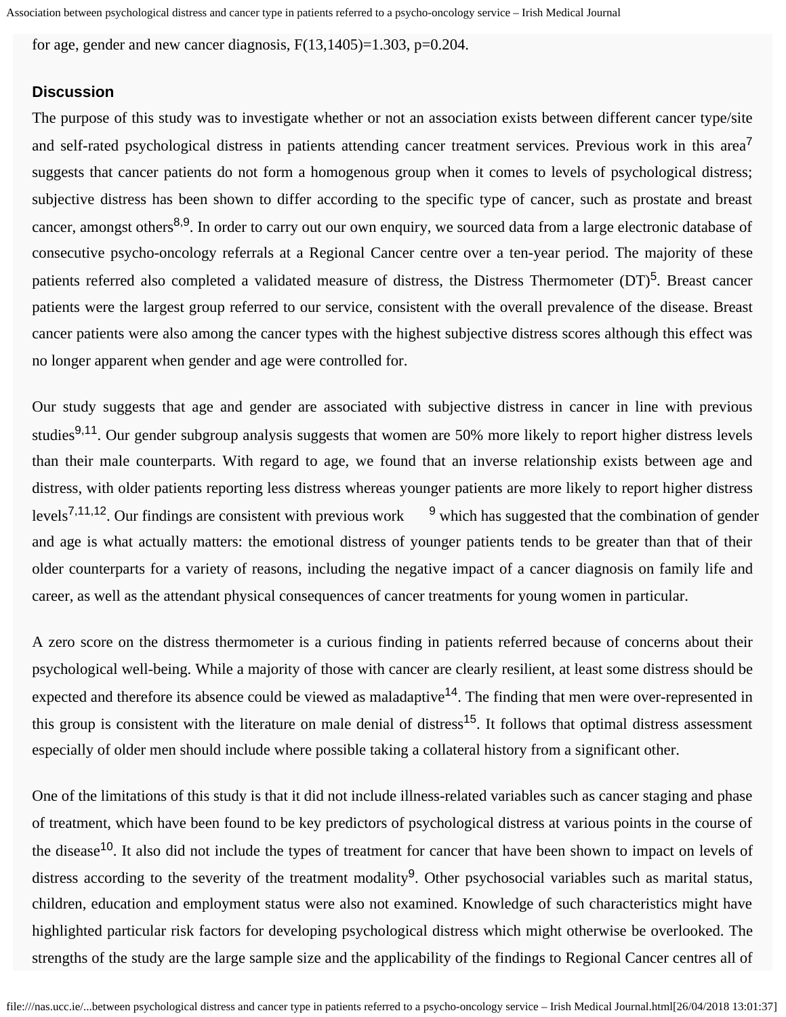for age, gender and new cancer diagnosis,  $F(13,1405)=1.303$ ,  $p=0.204$ .

#### **Discussion**

The purpose of this study was to investigate whether or not an association exists between different cancer type/site and self-rated psychological distress in patients attending cancer treatment services. Previous work in this area<sup>7</sup> suggests that cancer patients do not form a homogenous group when it comes to levels of psychological distress; subjective distress has been shown to differ according to the specific type of cancer, such as prostate and breast cancer, amongst others<sup>8,9</sup>. In order to carry out our own enquiry, we sourced data from a large electronic database of consecutive psycho-oncology referrals at a Regional Cancer centre over a ten-year period. The majority of these patients referred also completed a validated measure of distress, the Distress Thermometer (DT)<sup>5</sup>. Breast cancer patients were the largest group referred to our service, consistent with the overall prevalence of the disease. Breast cancer patients were also among the cancer types with the highest subjective distress scores although this effect was no longer apparent when gender and age were controlled for.

Our study suggests that age and gender are associated with subjective distress in cancer in line with previous studies<sup>9,11</sup>. Our gender subgroup analysis suggests that women are 50% more likely to report higher distress levels than their male counterparts. With regard to age, we found that an inverse relationship exists between age and distress, with older patients reporting less distress whereas younger patients are more likely to report higher distress  $\frac{9}{9}$  which has suggested that the combination of gender and age is what actually matters: the emotional distress of younger patients tends to be greater than that of their older counterparts for a variety of reasons, including the negative impact of a cancer diagnosis on family life and career, as well as the attendant physical consequences of cancer treatments for young women in particular. levels<sup>7,11,12</sup>. Our findings are consistent with previous work

A zero score on the distress thermometer is a curious finding in patients referred because of concerns about their psychological well-being. While a majority of those with cancer are clearly resilient, at least some distress should be expected and therefore its absence could be viewed as maladaptive<sup>14</sup>. The finding that men were over-represented in this group is consistent with the literature on male denial of distress<sup>15</sup>. It follows that optimal distress assessment especially of older men should include where possible taking a collateral history from a significant other.

One of the limitations of this study is that it did not include illness-related variables such as cancer staging and phase of treatment, which have been found to be key predictors of psychological distress at various points in the course of the disease<sup>10</sup>. It also did not include the types of treatment for cancer that have been shown to impact on levels of distress according to the severity of the treatment modality<sup>9</sup>. Other psychosocial variables such as marital status, children, education and employment status were also not examined. Knowledge of such characteristics might have highlighted particular risk factors for developing psychological distress which might otherwise be overlooked. The strengths of the study are the large sample size and the applicability of the findings to Regional Cancer centres all of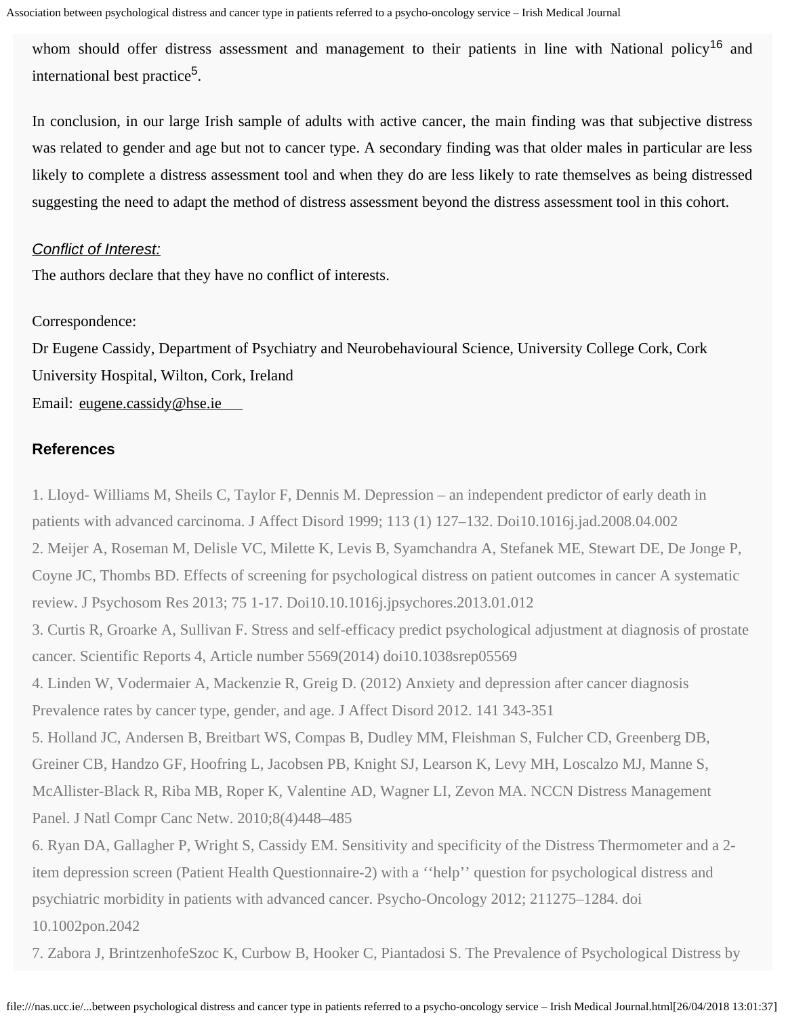whom should offer distress assessment and management to their patients in line with National policy<sup>16</sup> and international best practice<sup>5</sup>.

In conclusion, in our large Irish sample of adults with active cancer, the main finding was that subjective distress was related to gender and age but not to cancer type. A secondary finding was that older males in particular are less likely to complete a distress assessment tool and when they do are less likely to rate themselves as being distressed suggesting the need to adapt the method of distress assessment beyond the distress assessment tool in this cohort.

#### *Conflict of Interest:*

The authors declare that they have no conflict of interests.

#### Correspondence:

Dr Eugene Cassidy, Department of Psychiatry and Neurobehavioural Science, University College Cork, Cork University Hospital, Wilton, Cork, Ireland Email: eugene.cassidy@hse.ie

#### **References**

1. Lloyd- Williams M, Sheils C, Taylor F, Dennis M. Depression – an independent predictor of early death in patients with advanced carcinoma. J Affect Disord 1999; 113 (1) 127–132. Doi10.1016j.jad.2008.04.002 2. Meijer A, Roseman M, Delisle VC, Milette K, Levis B, Syamchandra A, Stefanek ME, Stewart DE, De Jonge P, Coyne JC, Thombs BD. Effects of screening for psychological distress on patient outcomes in cancer A systematic review. J Psychosom Res 2013; 75 1-17. Doi10.10.1016j.jpsychores.2013.01.012 3. Curtis R, Groarke A, Sullivan F. Stress and self-efficacy predict psychological adjustment at diagnosis of prostate cancer. Scientific Reports 4, Article number 5569(2014) doi10.1038srep05569 4. Linden W, Vodermaier A, Mackenzie R, Greig D. (2012) Anxiety and depression after cancer diagnosis Prevalence rates by cancer type, gender, and age. J Affect Disord 2012. 141 343-351 5. Holland JC, Andersen B, Breitbart WS, Compas B, Dudley MM, Fleishman S, Fulcher CD, Greenberg DB, Greiner CB, Handzo GF, Hoofring L, Jacobsen PB, Knight SJ, Learson K, Levy MH, Loscalzo MJ, Manne S, McAllister-Black R, Riba MB, Roper K, Valentine AD, Wagner LI, Zevon MA. NCCN Distress Management Panel. J Natl Compr Canc Netw. 2010;8(4)448–485 6. Ryan DA, Gallagher P, Wright S, Cassidy EM. Sensitivity and specificity of the Distress Thermometer and a 2 item depression screen (Patient Health Questionnaire-2) with a ''help'' question for psychological distress and psychiatric morbidity in patients with advanced cancer. Psycho-Oncology 2012; 211275–1284. doi

10.1002pon.2042

7. Zabora J, BrintzenhofeSzoc K, Curbow B, Hooker C, Piantadosi S. The Prevalence of Psychological Distress by